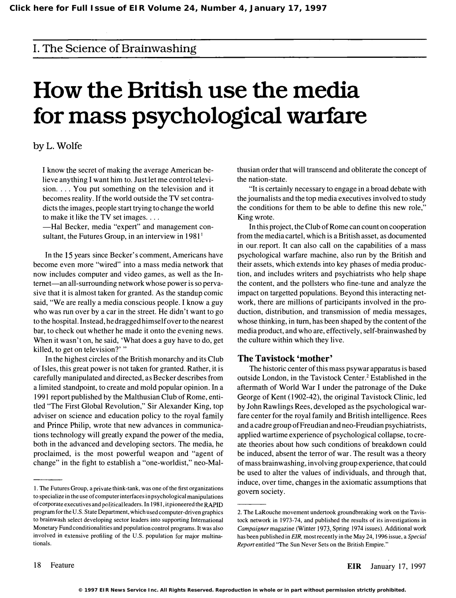### I. The Science of Brainwashing

# How the British use the media for mass psychological warfare

#### byL. Wolfe

I know the secret of making the average American believe anything I want him to. Just let me control television.  $\ldots$  You put something on the television and it becomes reality. If the world outside the TV set contradicts the images, people start trying to change the world to make it like the TV set images.  $\dots$ 

-Hal Becker, media "expert" and management consultant, the Futures Group, in an interview in  $1981<sup>1</sup>$ 

In the 15 years since Becker's comment, Americans have become even more "wired" into a mass media network that now includes computer and video games, as well as the Internet—an all-surrounding network whose power is so pervasive that it is almost taken for granted. As the standup comic said, "We are really a media conscious people. I know a guy who was run over by a car in the street. He didn't want to go to the hospital. Instead, he dragged himself over to the nearest bar, to check out whether he made it onto the evening news. When it wasn't on, he said, 'What does a guy have to do, get killed, to get on television?' "

In the highest circles of the British monarchy and its Club of Isles, this great power is not taken for granted. Rather, it is carefully manipulated and directed, as Becker describes from a limited standpoint, to create and mold popular opinion. In a 1991 report published by the Malthusian Club of Rome, entitled "The First Global Revolution," Sir Alexander King, top adviser on science and education policy to the royal family and Prince Philip, wrote that new advances in communications technology will greatly expand the power of the media, both in the advanced and developing sectors. The media, he proclaimed, is the most powerful weapon and "agent of change" in the fight to establish a "one-worldist," neo-Malthusian order that will transcend and obliterate the concept of the nation-state.

"It is certainly necessary to engage in a broad debate with the journalists and the top media executives involved to study the conditions for them to be able to define this new role," King wrote.

In this project, the Club of Rome can count on cooperation from the media cartel, which is a British asset, as documented in our report. It can also call on the capabilities of a mass psychological warfare machine, also run by the British and their assets, which extends into key phases of media production, and includes writers and psychiatrists who help shape the content, and the pollsters who fine-tune and analyze the impact on targetted populations. Beyond this interacting network, there are millions of participants involved in the production, distribution, and transmission of media messages, whose thinking, in tum, has been shaped by the content of the media product, and who are, effectively, self-brainwashed by the culture within which they live.

#### The Tavistock 'mother'

The historic center of this mass psywar apparatus is based outside London, in the Tavistock Center.<sup>2</sup> Established in the aftermath of World War I under the patronage of the Duke George of Kent (1902-42), the original Tavistock Clinic, led by John Rawlings Rees, developed as the psychological warfare center for the royal family and British intelligence. Rees and a cadre group of Freudian and neo-Freudian psychiatrists, applied wartime experience of psychological collapse, to create theories about how such conditions of breakdown could be induced, absent the terror of war. The result was a theory of mass brainwashing, involving group experience, that could be used to alter the values of individuals, and through that, induce, over time, changes in the axiomatic assumptions that govern society.

I. The Futures Group, a private think-tank, was one of the first organizations to specialize in the use of computer interfaces in psychological manipulations of corporate executives and political leaders. In 1981, it pioneered the RAPID program for the U.S. State Department, which used computer-driven graphics to brainwash select developing sector leaders into supporting International Monetary Fund conditionalities and population control programs. It was also involved in extensive profiling of the U.S. population for major multinationals.

<sup>2.</sup> The LaRouche movement undertook groundbreaking work on the Tavistock network in 1973-74, and published the results of its investigations in Campaigner magazine (Winter 1973, Spring 1974 issues). Additional work has been published in EIR, most recently in the May 24, 1996 issue, a Special Report entitled "The Sun Never Sets on the British Empire."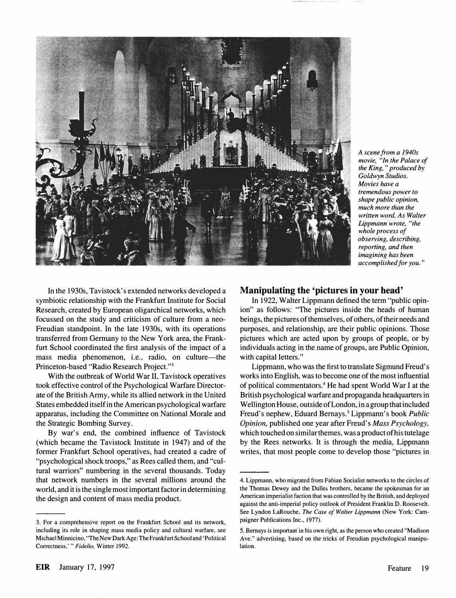

A scene from a 1940s movie, "In the Palace of the King, " produced by Goldwyn Studios. Movies have a tremendous power to shape public opinion, much more than the written word. As Walter Lippmann wrote, "the whole process of observing, describing, reporting, and then imagining has been accomplished for you."

In the 1930s, Tavistock's extended networks developed a symbiotic relationship with the Frankfurt Institute for Social Research, created by European oligarchical networks, which focussed on the study and criticism of culture from a neo-Freudian standpoint. In the late 1930s, with its operations transferred from Germany to the New York area, the Frankfurt School coordinated the first analysis of the impact of a mass media phenomenon, i.e., radio, on culture-the Princeton-based "Radio Research Project.")

With the outbreak of World War II, Tavistock operatives took effective control of the Psychological Warfare Directorate of the British Army, while its allied network in the United States embedded itself in the American psychological warfare apparatus, including the Committee on National Morale and the Strategic Bombing Survey.

By war's end, the combined influence of Tavistock (which became the Tavistock Institute in 1947) and of the former Frankfurt School operatives, had created a cadre of "psychological shock troops," as Rees called them, and "cultural warriors" numbering in the several thousands. Today that network numbers in the several millions around the world, and it is the single most important factor in determining the design and content of mass media product.

#### Manipulating the 'pictures in your head'

In 1922, Walter Lippmann defined the term "public opinion" as follows: "The pictures inside the heads of human beings, the pictures of themselves, of others, of their needs and purposes, and relationship, are their public opinions. Those pictures which are acted upon by groups of people, or by individuals acting in the name of groups, are Public Opinion, with capital letters."

Lippmann, who was the first to translate Sigmund Freud's works into English, was to become one of the most influential of political commentators.4 He had spent World War I at the British psychological warfare and propaganda headquarters in Wellington House, outside of London, in a group that included Freud's nephew, Eduard Bernays.<sup>5</sup> Lippmann's book *Public* Opinion, published one year after Freud's Mass Psychology, which touched on similar themes, was a product of his tutelage by the Rees networks. It is through the media, Lippmann writes, that most people come to develop those "pictures in

<sup>3.</sup> For a comprehensive report on the Frankfurt School and its network, including its role in shaping mass media policy and cultural warfare, see Michael Minnicino, "The New Dark Age: The Frankfurt School and 'Political Correctness,' " Fidelio, Winter 1992.

<sup>4.</sup> Lippmann, who migrated from Fabian Socialist networks to the circles of the Thomas Dewey and the Dulles brothers, became the spokesman for an American imperialist faction that was controlled by the British, and deployed against the anti-imperial policy outlook of President Franklin D. Roosevelt. See Lyndon LaRouche, The Case of Walter Lippmann (New York: Campaigner Publications Inc., 1977).

<sup>5.</sup> Bemays is important in his own right, as the person who created "Madison Ave." advertising, based on the tricks of Freudian psychological manipulation.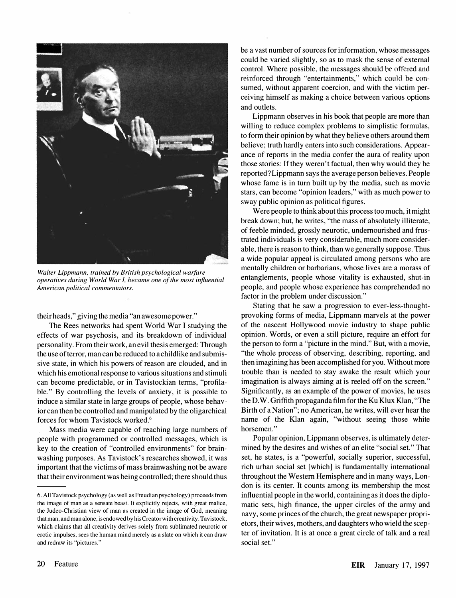

Walter Lippmann. trained by British psychological warfare operatives during World War I. hecame one of the most influential American political commentators.

their heads," giving the media "an awesome power."

The Rees networks had spent World War I studying the effects of war psychosis, and its breakdown of individual personality. From their work, an evil thesis emerged: Through the use of terror, man can be reduced to a childlike and submissive state, in which his powers of reason are clouded, and in which his emotional response to various situations and stimuli can become predictable, or in Tavistockian terms, "profilable." By controlling the levels of anxiety, it is possible to induce a similar state in large groups of people, whose behavior can then be controlled and manipulated by the oligarchical forces for whom Tavistock worked.<sup>6</sup>

Mass media were capable of reaching large numbers of people with programmed or controlled messages, which is key to the creation of "controlled environments" for brainwashing purposes. As Tavistock's researches showed, it was important that the victims of mass brainwashing not be aware that their environment was being controlled; there should thus be a vast number of sources for information, whose messages could be varied slightly, so as to mask the sense of external control. Where possible, the messages should he offered and reinforced through "entertainments," which could be consumed, without apparent coercion, and with the victim perceiving himself as making a choice between various options and outlets.

Lippmann observes in his book that people are more than willing to reduce complex problems to simplistic formulas, to form their opinion by what they believe others around them believe; truth hardly enters into such considerations. Appearance of reports in the media confer the aura of reality upon those stories: If they weren't factual, then why would they be reported? Lippmann says the average person believes. People whose fame is in turn built up by the media, such as movie stars, can become "opinion leaders," with as much power to sway public opinion as political figures.

Were people to think about this process too much, it might break down; but, he writes, "the mass of absolutely illiterate, of feeble minded, grossly neurotic, undernourished and frustrated individuals is very considerable, much more considerable, there is reason to think, than we generally suppose. Thus a wide popular appeal is circulated among persons who are mentally children or barbarians, whose lives are a morass of entanglements, people whose vitality is exhausted, shut-in people, and people whose experience has comprehended no factor in the problem under discussion."

Stating that he saw a progression to ever-Iess-thoughtprovoking forms of media, Lippmann marvels at the power of the nascent Hollywood movie industry to shape public opinion. Words, or even a still picture, require an effort for the person to form a "picture in the mind." But, with a movie, "the whole process of observing, describing, reporting, and then imagining has been accomplished for you. Without more trouble than is needed to stay awake the result which your imagination is always aiming at is reeled off on the screen." Significantly, as an example of the power of movies, he uses the D. W. Griffith propaganda film for the Ku Klux Klan, "The Birth of a Nation"; no American, he writes, will ever hear the name of the Klan again, "without seeing those white horsemen."

Popular opinion, Lippmann observes, is ultimately determined by the desires and wishes of an elite "social set." That set, he states, is a "powerful, socially superior, successful, rich urban social set [which] is fundamentally international throughout the Western Hemisphere and in many ways, London is its center. It counts among its membership the most influential people in the world, containing as it does the diplomatic sets, high finance, the upper circles of the army and navy, some princes of the church, the great newspaper proprietors, their wives, mothers, and daughters who wield the scepter of invitation. It is at once a great circle of talk and a real social set."

<sup>6.</sup> All Tavistock psychology (as well as Freudian psychology) proceeds from the image of man as a sensate beast. It explicitly rejects. with great malice. the Judeo-Christian view of man as created in the image of God. meaning that man. and man alone. is endowed by his Creator with creativity. Tavistock. which claims that all creativity derives solely from sublimated neurotic or erotic impulses. sees the human mind merely as a slate on which it can draw and redraw its "pictures."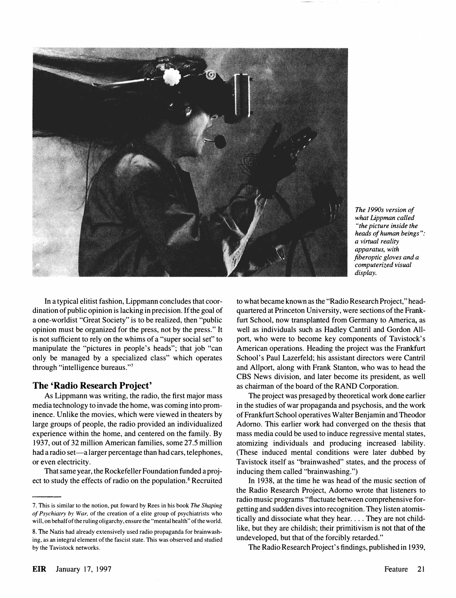

The 1990s version of what Lippman called "the picture inside the heads of human beings ": a virtual reality apparatus, with fiberoptic gloves and a computerized visual display.

In a typical elitist fashion, Lippmann concludes that coordination of public opinion is lacking in precision. If the goal of a one-worldist "Great Society" is to be realized, then "public opinion must be organized for the press, not by the press." It is not sufficient to rely on the whims of a "super social set" to manipulate the "pictures in people's heads"; that job "can only be managed by a specialized class" which operates through "intelligence bureaus."7

#### The 'Radio Research Project'

As Lippmann was writing, the radio, the first major mass media technology to invade the home, was coming into prominence. Unlike the movies, which were viewed in theaters by large groups of people, the radio provided an individualized experience within the home, and centered on the family. By 1937, out of 32 million American families, some 27.5 million had a radio set—a larger percentage than had cars, telephones, or even electricity.

That same year, the Rockefeller Foundation funded a project to study the effects of radio on the population.<sup>8</sup> Recruited to what became known as the "Radio Research Project," headquartered at Princeton University, were sections of the Frankfurt School, now transplanted from Germany to America, as well as individuals such as Hadley Cantril and Gordon Allport, who were to become key components of Tavistock's American operations. Heading the project was the Frankfurt School's Paul Lazerfeld; his assistant directors were Cantril and Allport, along with Frank Stanton, who was to head the CBS News division, and later become its president, as well as chairman of the board of the RAND Corporation.

The project was presaged by theoretical work done earlier in the studies of war propaganda and psychosis, and the work of Frankfurt School operatives Walter Benjamin and Theodor Adorno. This earlier work had converged on the thesis that mass media could be used to induce regressive mental states, atomizing individuals and producing increased lability. (These induced mental conditions were later dubbed by Tavistock itself as "brainwashed" states, and the process of inducing them called "brainwashing.")

In 1938, at the time he was head of the music section of the Radio Research Project, Adorno wrote that listeners to radio music programs "fluctuate between comprehensive forgetting and sudden dives into recognition. They listen atomistically and dissociate what they hear . ... They are not childlike, but they are childish; their primitivism is not that of the undeveloped, but that of the forcibly retarded."

The Radio Research Project's findings, published in 1939,

<sup>7.</sup> This is similar to the notion. put foward by Rees in his book The Shaping of Psychiatry by War, of the creation of a elite group of psychiatrists who will, on behalf of the ruling oligarchy, ensure the "mental health" of the world.

<sup>8.</sup> The Nazis had already extensively used radio propaganda for brainwashing, as an integral element of the fascist state. This was observed and studied by the Tavistock networks.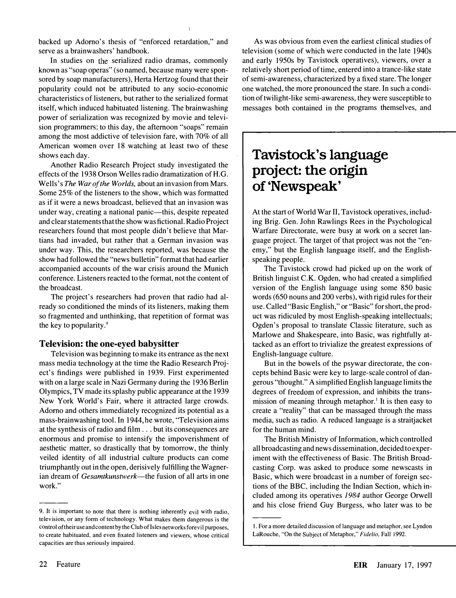backed up Adorno's thesis of "enforced retardation," and serve as a brainwashers' handbook.

In studies on the serialized radio dramas, commonly known as "soap operas" (so named, because many were sponsored by soap manufacturers), Herta Hertzog found that their popularity could not be attributed to any socio-economic characteristics of listeners, but rather to the serialized format itself, which induced habituated listening. The brainwashing power of serialization was recognized by movie and television programmers; to this day, the afternoon "soaps" remain among the most addictive of television fare, with 70% of all American women over 18 watching at least two of these shows each day.

Another Radio Research Project study investigated the effects of the 1938 Orson Welles radio dramatization of H.G. Wells's The War of the Worlds, about an invasion from Mars. Some 25% of the listeners to the show, which was formatted as if it were a news broadcast, believed that an invasion was under way, creating a national panic—this, despite repeated and clear statements that the show was fictional. Radio Project researchers found that most people didn't believe that Martians had invaded, but rather that a German invasion was under way. This, the researchers reported, was because the show had followed the "news bulletin" format that had earlier accompanied accounts of the war crisis around the Munich conference. Listeners reacted to the format, not the content of the broadcast.

The project's researchers had proven that radio had already so conditioned the minds of its listeners, making them so fragmented and unthinking, that repetition of format was the key to popularity. $9$ 

#### Television: the one-eyed babysitter

Television was beginning to make its entrance as the next mass media technology at the time the Radio Research Project's findings were published in 1939. First experimented with on a large scale in Nazi Germany during the 1936 Berlin Olympics, TV made its splashy public appearance at the 1939 New York World's Fair, where it attracted large crowds. Adorno and others immediately recognized its potential as a mass-brainwashing tool. In 1944, he wrote, "Television aims at the synthesis of radio and film . . . but its consequences are enormous and promise to intensify the impoverishment of aesthetic matter, so drastically that by tomorrow, the thinly veiled identity of all industrial culture products can come triumphantly out in the open, derisively fulfilling the Wagnerian dream of Gesamtkunstwerk-the fusion of all arts in one work."

As was obvious from even the earliest clinical studies of television (some of which were conducted in the late 1940s and early 1950s by Tavistock operatives), viewers, over a relatively short period of time, entered into a trance-like state of semi-awareness, characterized by a fixed stare. The longer one watched, the more pronounced the stare. In such a condition of twilight-like semi-awareness, they were susceptible to messages both contained in the programs themselves, and

## Tavistock's language project: the origin of 'Newspeak'

At the start of World War II, Tavistock operatives, including Brig. Gen. John Rawlings Rees in the Psychological Warfare Directorate, were busy at work on a secret language project. The target of that project was not the "enemy," but the English language itself, and the Englishspeaking people.

The Tavistock crowd had picked up on the work of British linguist C.K. Ogden. who had created a simplified version of the English language using some 850 basic words (650 nouns and 200 verbs), with rigid rules for their use. Called "Basic English," or "Basic" for short, the product was ridiculed by most English-speaking intellectuals; Ogden's proposal to translate Classic literature, such as Marlowe and Shakespeare, into Basic, was rightfully attacked as an effort to trivialize the greatest expressions of English-language culture.

But in the bowels of the psywar directorate, the concepts behind Basic were key to large-scale control of dangerous "thought." A simplified English language limits the degrees of freedom of expression, and inhibits the transmission of meaning through metaphor.<sup>1</sup> It is then easy to create a "reality" that can be massaged through the mass media, such as radio. A reduced language is a straitjacket for the human mind.

The British Ministry of Information, which controlled all broadcasting and news dissemination, decided to experiment with the effectiveness of Basic. The British Broadcasting Corp. was asked to produce some newscasts in Basic, which were broadcast in a number of foreign sections of the BBC. including the Indian Section, which included among its operatives 1984 author George Orwell and his close friend Guy Burgess, who later was to be

<sup>9.</sup> It is important to note that there is nothing inherently evil with radio, television, or any form of technology. What makes them dangerous is the control of their use and content by the Club of Isles networks forevil purposes, to create habituated. and even fixated listeners and viewers, whose critical capacities are thus seriously impaired.

<sup>1.</sup> For a more detailed discussion of language and metaphor, see Lyndon LaRouche, "On the Subject of Metaphor," Fidelio, Fall 1992.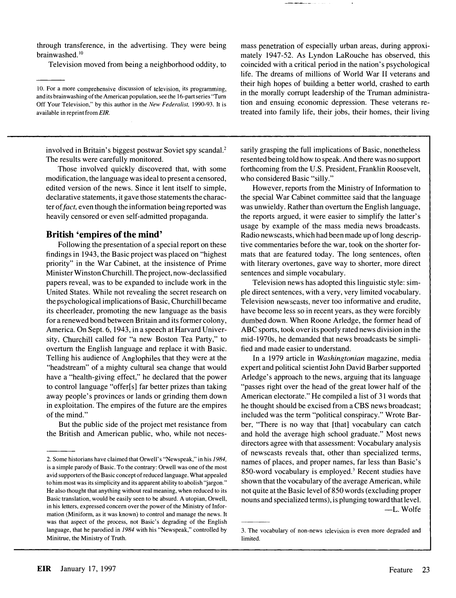through transference, in the advertising. They were being brainwashed.<sup>10</sup>

Television moved from being a neighborhood oddity, to

mass penetration of especially urban areas, during approximately 1947-52. As Lyndon LaRouche has observed, this coincided with a critical period in the nation's psychological life. The dreams of millions of World War II veterans and their high hopes of building a better world, crashed to earth in the morally corrupt leadership of the Truman administration and ensuing economic depression. These veterans retreated into family life, their jobs, their homes, their living

involved in Britain's biggest postwar Soviet spy scandal.<sup>2</sup> The results were carefully monitored.

Those involved quickly discovered that, with some modification, the language was ideal to present a censored, edited version of the news. Since it lent itself to simple, declarative statements, it gave those statements the character of fact, even though the information being reported was heavily censored or even self-admitted propaganda.

#### British 'empires of the mind'

Following the presentation of a special report on these findings in 1943, the Basic project was placed on "highest priority" in the War Cabinet, at the insistence of Prime Minister Winston Churchill. The project, now-declassified papers reveal, was to be expanded to include work in the United States. While not revealing the secret research on the psychological implications of Basic, Churchill became its cheerleader, promoting the new language as the basis for a renewed bond between Britain and its former colony, America. On Sept. 6,1943, in a speech at Harvard University, Churchill called for "a new Boston Tea Party," to overturn the English language and replace it with Basic. Telling his audience of Anglophiles that they were at the "headstream" of a mighty cultural sea change that would have a "health-giving effect," he declared that the power to control language "offer[s] far better prizes than taking away people's provinces or lands or grinding them down in exploitation. The empires of the future are the empires of the mind."

But the public side of the project met resistance from the British and American public, who, while not necessarily grasping the full implications of Basic, nonetheless resented being told how to speak. And there was no support forthcoming from the U.S. President, Franklin Roosevelt, who considered Basic "silly."

However, reports from the Ministry of Information to the special War Cabinet committee said that the language was unwieldy. Rather than overturn the English language, the reports argued, it were easier to simplify the latter's usage by example of the mass media news broadcasts. Radio newscasts, which had been made up of long descriptive commentaries before the war, took on the shorter formats that are featured today. The long sentences, often with literary overtones, gave way to shorter, more direct sentences and simple vocabulary.

Television news has adopted this linguistic style: simple direct sentences, with a very, very limited vocabulary. Television newscasts, never too informative and erudite, have become less so in recent years, as they were forcibly dumbed down. When Roone Arledge, the former head of ABC sports, took over its poorly rated news division in the mid-1970s, he demanded that news broadcasts be simplified and made easier to understand.

In a 1979 article in Washingtonian magazine, media expert and political scientist John David Barber supported Arledge's approach to the news, arguing that its language "passes right over the head of the great lower half of the American electorate." He compiled a list of 31 words that he thought should be excised from a CBS news broadcast; included was the term "political conspiracy." Wrote Barber, "There is no way that [that] vocabulary can catch and hold the average high school graduate." Most news directors agree with that assessment: Vocabulary analysis of newscasts reveals that, other than specialized terms, names of places, and proper names, far less than Basic's 850-word vocabulary is employed.' Recent studies have shown that the vocabulary of the average American, while not quite at the Basic level of 850 words (excluding proper nouns and specialized terms), is plunging toward that level. -L. Wolfe

<sup>10.</sup> For a more comprehensive discussion of television, its programming. and its brainwashing of the American population, see the 16-part series "Tum Off Your Television," by this author in the New Federalist, 1990-93. It is available in reprint from EIR.

<sup>2.</sup> Some historians have claimed that Orwell's "Newspeak." in his 1984, is a simple parody of Basic. To the contrary: Orwell was one of the most avid supporters of the Basic concept of reduced language. What appealed to him most was its simplicity and its apparent ability to abolish "jargon." He also thought that anything without real meaning, when reduced to its Basic translation, would be easily seen to be absurd. A utopian, Orwell, in his letters, expressed concern over the power of the Ministry of Information (Miniform, as it was known) to control and manage the news. It was that aspect of the process, not Basic's degrading of the English language, that he parodied in 1984 with his "Newspeak," controlled by Minitrue, the Ministry of Truth.

<sup>3.</sup> The vocabulary of non-news television is even more degraded and limited.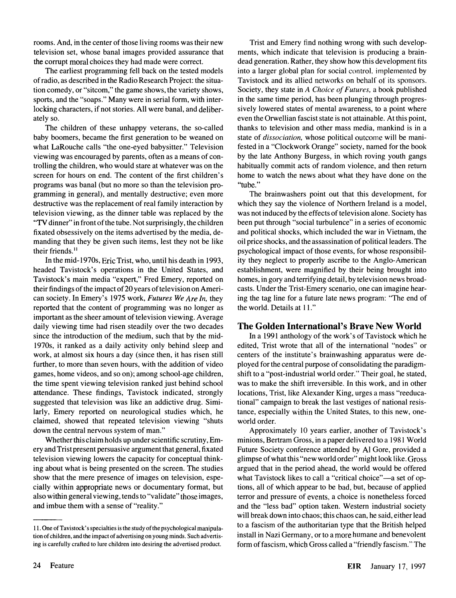rooms. And, in the center of those living rooms was their new television set, whose banal images provided assurance that the corrupt moral choices they had made were correct.

The earliest programming fell back on the tested models of radio, as described in the Radio Research Project: the situation comedy, or "sitcom," the game shows, the variety shows, sports, and the "soaps." Many were in serial form, with interlocking characters, if not stories. All were banal, and deliberately so.

The children of these unhappy veterans, the so-called baby boomers, became the first generation to be weaned on what LaRouche calls "the one-eyed babysitter." Television viewing was encouraged by parents, often as a means of controlling the children, who would stare at whatever was on the screen for hours on end. The content of the first children's programs was banal (but no more so than the television programming in general), and mentally destructive; even more destructive was the replacement of real family interaction by television viewing, as the dinner table was replaced by the "TV dinner" in front of the tube. Not surprisingly, the children fixated obsessively on the items advertised by the media, demanding that they be given such items, lest they not be like their friends.<sup>11</sup>

In the mid-1970s, Eric Trist, who, until his death in 1993, headed Tavistock's operations in the United States, and Tavistock's main media "expert," Fred Emery, reported on their findings of the impact of20 years of television on American society. In Emery's 1975 work, Futures We Are In, they reported that the content of programming was no longer as important as the sheer amount of television viewing. Average daily viewing time had risen steadily over the two decades since the introduction of the medium, such that by the mid-1970s, it ranked as a daily activity only behind sleep and work, at almost six hours a day (since then, it has risen still further, to more than seven hours, with the addition of video games, home videos, and so on); among school-age children, the time spent viewing television ranked just behind school attendance. These findings, Tavistock indicated, strongly suggested that television was like an addictive drug. Similarly, Emery reported on neurological studies which, he claimed, showed that repeated television viewing "shuts down the central nervous system of man."

Whether this claim holds up under scientific scrutiny, Emery and Trist present persuasive argument that general, fixated television viewing lowers the capacity for conceptual thinking about what is being presented on the screen. The studies show that the mere presence of images on television, especially within appropriate news or documentary format, but also within general viewing, tends to "validate" those images, and imbue them with a sense of "reality."

Trist and Emery find nothing wrong with such developments, which indicate that television is producing a braindead generation. Rather, they show how this development fits into a larger global plan for social control. implemented by Tavistock and its allied networks on behalf of its sponsors. Society, they state in A Choice of Futures, a book published in the same time period, has been plunging through progressively lowered states of mental awareness, to a point where even the Orwellian fascist state is not attainable. At this point, thanks to television and other mass media, mankind is in a state of dissociation, whose political outcome will be manifested in a "Clockwork Orange" society, named for the book by the late Anthony Burgess, in which roving youth gangs habitually commit acts of random violence, and then return home to watch the news about what they have done on the "tube."

The brainwashers point out that this development, for which they say the violence of Northern Ireland is a model, was not induced by the effects of television alone. Society has been put through "social turbulence" in a series of economic and political shocks, which included the war in Vietnam, the oil price shocks, and the assassination of political leaders. The psychological impact of those events, for whose responsibility they neglect to properly ascribe to the Anglo-American establishment, were magnified by their being brought into homes, in gory and terrifying detail, by television news broadcasts. Under the Trist-Emery scenario, one can imagine hearing the tag line for a future late news program: "The end of the world. Details at 11."

#### The Golden International's Brave New World

In a 1991 anthology of the work's of Tavistock which he edited, Trist wrote that all of the international "nodes" or centers of the institute's brainwashing apparatus were deployed for the central purpose of consolidating the paradigmshift to a "post-industrial world order." Their goal, he stated, was to make the shift irreversible. In this work, and in other locations, Trist, like Alexander King, urges a mass "reeducationa!" campaign to break the last vestiges of national resistance, especially within the United States, to this new, oneworld order.

Approximately 10 years earlier, another of Tavistock's minions, Bertram Gross, in a paper delivered to a 1981 World Future Society conference attended by Al Gore, provided a glimpse of what this "new world order" might look like. Gross argued that in the period ahead, the world would be offered what Tavistock likes to call a "critical choice"-a set of options, all of which appear to be bad, but, because of applied terror and pressure of events, a choice is nonetheless forced and the "less bad" option taken. Western industrial society will break down into chaos; this chaos can, he said, either lead to a fascism of the authoritarian type that the British helped install in Nazi Germany, or to a more humane and benevolent form of fascism, which Gross called a "friendly fascism." The

<sup>11.</sup> One ofTavistock's specialties is the study of the psychological manipulation of children, and the impact of advertising on young minds. Such advertising is carefully crafted to lure children into desiring the advertised product.